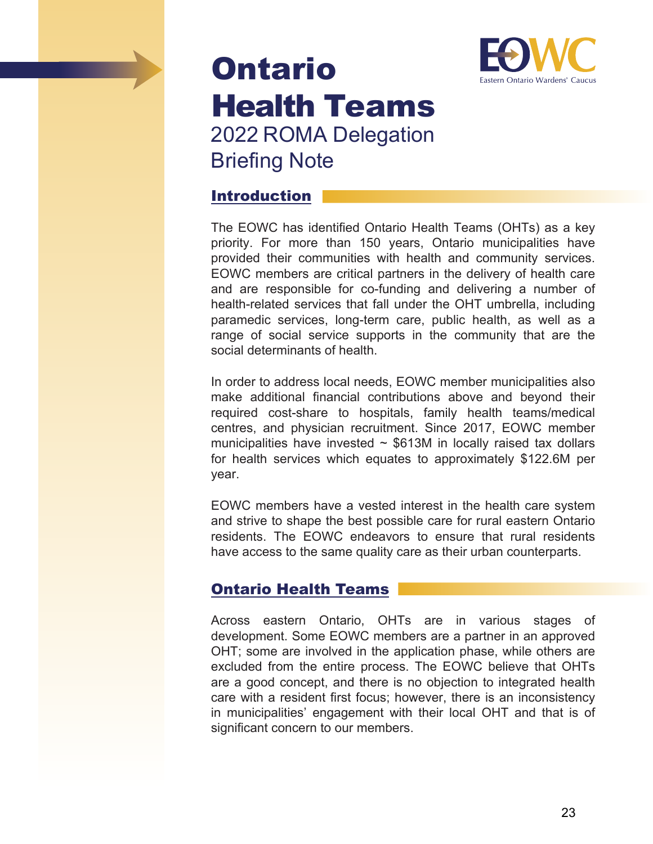## Ontario Health Teams 2022 ROMA Delegation Briefing Note



## Introduction

The EOWC has identified Ontario Health Teams (OHTs) as a key priority. For more than 150 years, Ontario municipalities have provided their communities with health and community services. EOWC members are critical partners in the delivery of health care and are responsible for co-funding and delivering a number of health-related services that fall under the OHT umbrella, including paramedic services, long-term care, public health, as well as a range of social service supports in the community that are the social determinants of health.

In order to address local needs, EOWC member municipalities also make additional financial contributions above and beyond their required cost-share to hospitals, family health teams/medical centres, and physician recruitment. Since 2017, EOWC member municipalities have invested  $\sim$  \$613M in locally raised tax dollars for health services which equates to approximately \$122.6M per year.

EOWC members have a vested interest in the health care system and strive to shape the best possible care for rural eastern Ontario residents. The EOWC endeavors to ensure that rural residents have access to the same quality care as their urban counterparts.

## Ontario Health Teams

Across eastern Ontario, OHTs are in various stages of development. Some EOWC members are a partner in an approved OHT; some are involved in the application phase, while others are excluded from the entire process. The EOWC believe that OHTs are a good concept, and there is no objection to integrated health care with a resident first focus; however, there is an inconsistency in municipalities' engagement with their local OHT and that is of significant concern to our members.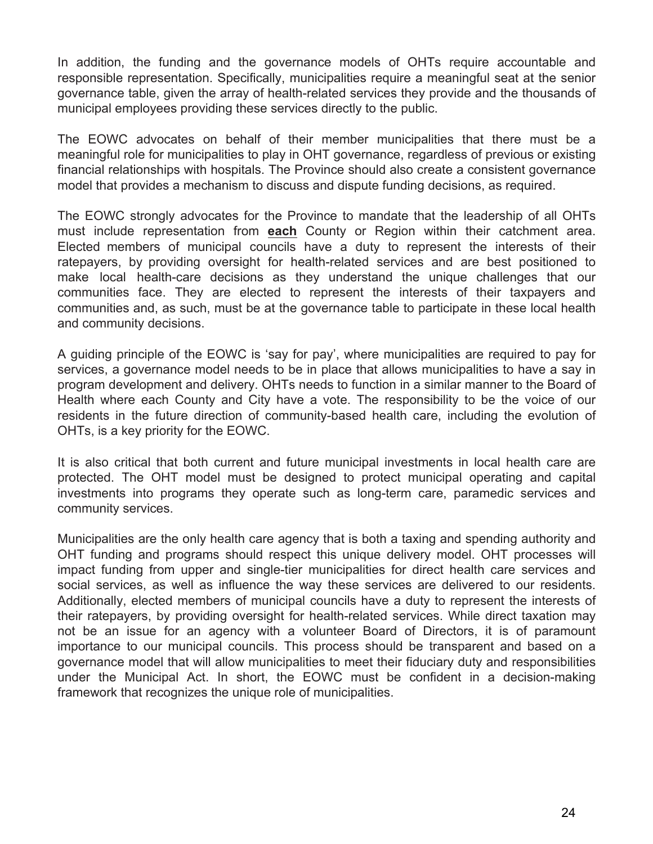In addition, the funding and the governance models of OHTs require accountable and responsible representation. Specifically, municipalities require a meaningful seat at the senior governance table, given the array of health-related services they provide and the thousands of municipal employees providing these services directly to the public.

The EOWC advocates on behalf of their member municipalities that there must be a meaningful role for municipalities to play in OHT governance, regardless of previous or existing financial relationships with hospitals. The Province should also create a consistent governance model that provides a mechanism to discuss and dispute funding decisions, as required.

The EOWC strongly advocates for the Province to mandate that the leadership of all OHTs must include representation from **each** County or Region within their catchment area. Elected members of municipal councils have a duty to represent the interests of their ratepayers, by providing oversight for health-related services and are best positioned to make local health-care decisions as they understand the unique challenges that our communities face. They are elected to represent the interests of their taxpayers and communities and, as such, must be at the governance table to participate in these local health and community decisions.

A guiding principle of the EOWC is 'say for pay', where municipalities are required to pay for services, a governance model needs to be in place that allows municipalities to have a say in program development and delivery. OHTs needs to function in a similar manner to the Board of Health where each County and City have a vote. The responsibility to be the voice of our residents in the future direction of community-based health care, including the evolution of OHTs, is a key priority for the EOWC.

It is also critical that both current and future municipal investments in local health care are protected. The OHT model must be designed to protect municipal operating and capital investments into programs they operate such as long-term care, paramedic services and community services.

Municipalities are the only health care agency that is both a taxing and spending authority and OHT funding and programs should respect this unique delivery model. OHT processes will impact funding from upper and single-tier municipalities for direct health care services and social services, as well as influence the way these services are delivered to our residents. Additionally, elected members of municipal councils have a duty to represent the interests of their ratepayers, by providing oversight for health-related services. While direct taxation may not be an issue for an agency with a volunteer Board of Directors, it is of paramount importance to our municipal councils. This process should be transparent and based on a governance model that will allow municipalities to meet their fiduciary duty and responsibilities under the Municipal Act. In short, the EOWC must be confident in a decision-making framework that recognizes the unique role of municipalities.